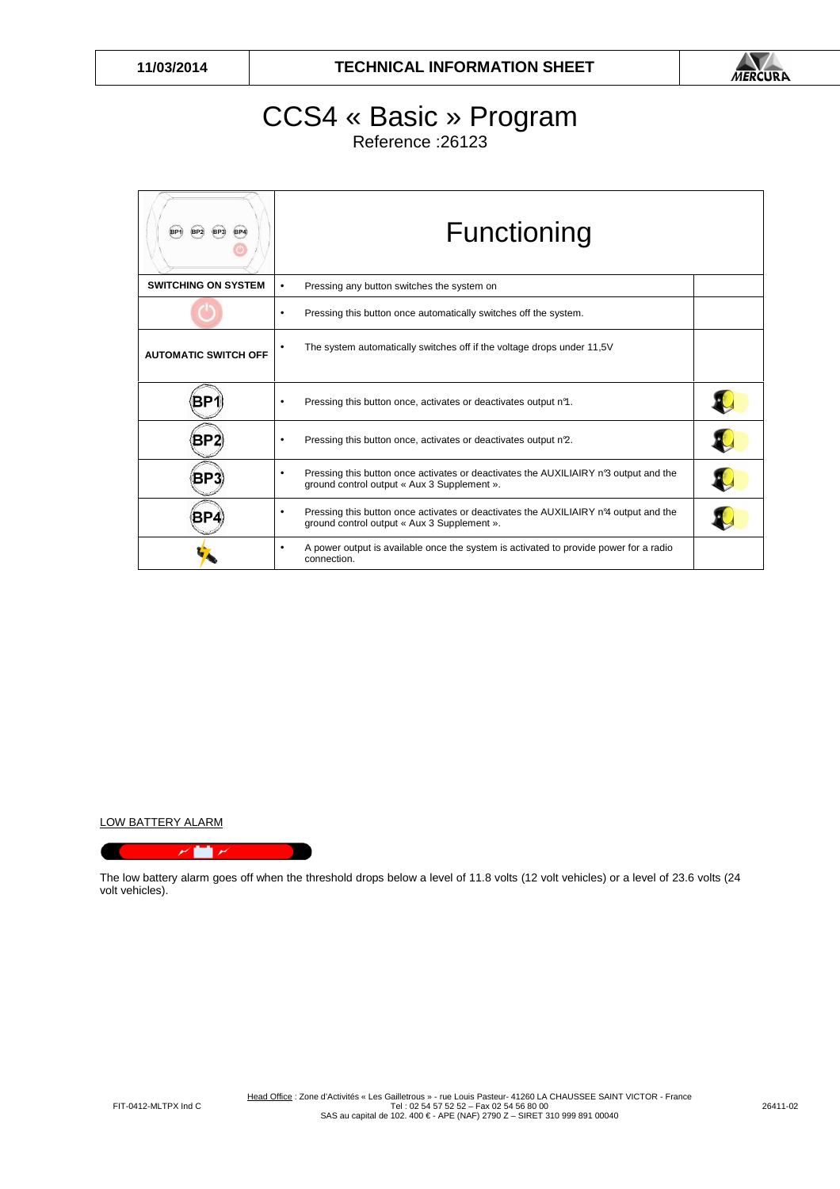

## CCS4 « Basic » Program

Reference :26123

| BP4                         | Functioning                                                                                                                                         |  |
|-----------------------------|-----------------------------------------------------------------------------------------------------------------------------------------------------|--|
| <b>SWITCHING ON SYSTEM</b>  | Pressing any button switches the system on<br>$\bullet$                                                                                             |  |
|                             | Pressing this button once automatically switches off the system.                                                                                    |  |
| <b>AUTOMATIC SWITCH OFF</b> | The system automatically switches off if the voltage drops under 11,5V                                                                              |  |
| BН                          | Pressing this button once, activates or deactivates output n <sup>9</sup> .<br>٠                                                                    |  |
|                             | Pressing this button once, activates or deactivates output n2.<br>٠                                                                                 |  |
| BP:                         | Pressing this button once activates or deactivates the AUXILIAIRY n <sup>3</sup> output and the<br>٠<br>ground control output « Aux 3 Supplement ». |  |
| ВP                          | Pressing this button once activates or deactivates the AUXILIAIRY nº4 output and the<br>٠<br>ground control output « Aux 3 Supplement ».            |  |
|                             | A power output is available once the system is activated to provide power for a radio<br>$\bullet$<br>connection.                                   |  |

LOW BATTERY ALARM

 $\overline{r}$  in  $\overline{r}$ 

The low battery alarm goes off when the threshold drops below a level of 11.8 volts (12 volt vehicles) or a level of 23.6 volts (24 volt vehicles).